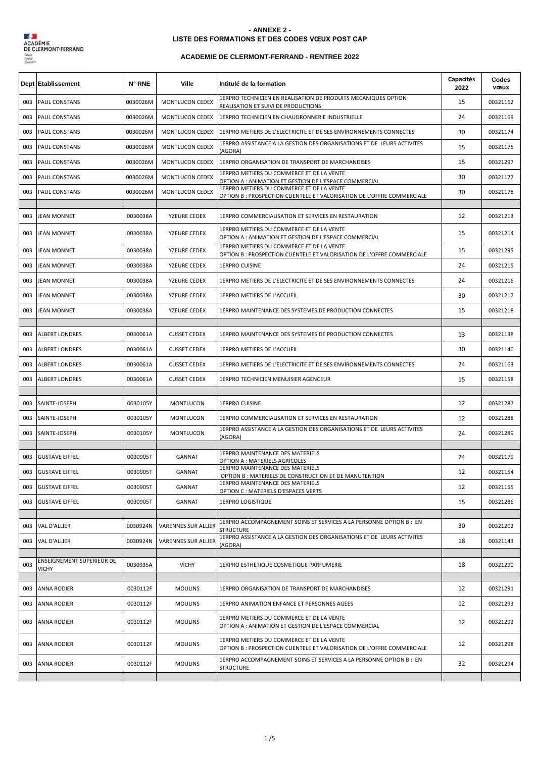

## **LISTE DES FORMATIONS ET DES CODES VŒUX POST CAP - ANNEXE 2 -**

## **ACADEMIE DE CLERMONT-FERRAND - RENTREE 2022**

|     | Dept Etablissement        | N° RNE   | Ville                  | Intitulé de la formation                                                                                             | Capacités<br>2022 | Codes<br>vœux |
|-----|---------------------------|----------|------------------------|----------------------------------------------------------------------------------------------------------------------|-------------------|---------------|
| 003 | PAUL CONSTANS             | 0030026M | MONTLUCON CEDEX        | 1ERPRO TECHNICIEN EN REALISATION DE PRODUITS MECANIQUES OPTION<br>REALISATION ET SUIVI DE PRODUCTIONS                | 15                | 00321162      |
| 003 | PAUL CONSTANS             | 0030026M | MONTLUCON CEDEX        | 1ERPRO TECHNICIEN EN CHAUDRONNERIE INDUSTRIELLE                                                                      | 24                | 00321169      |
| 003 | PAUL CONSTANS             | 0030026M | MONTLUCON CEDEX        | 1ERPRO METIERS DE L'ELECTRICITE ET DE SES ENVIRONNEMENTS CONNECTES                                                   | 30                | 00321174      |
| 003 | PAUL CONSTANS             | 0030026M | MONTLUCON CEDEX        | 1ERPRO ASSISTANCE A LA GESTION DES ORGANISATIONS ET DE LEURS ACTIVITES<br>(AGORA)                                    | 15                | 00321175      |
| 003 | PAUL CONSTANS             | 0030026M | MONTLUCON CEDEX        | 1ERPRO ORGANISATION DE TRANSPORT DE MARCHANDISES                                                                     | 15                | 00321297      |
| 003 | PAUL CONSTANS             | 0030026M | <b>MONTLUCON CEDEX</b> | 1ERPRO METIERS DU COMMERCE ET DE LA VENTE<br>OPTION A : ANIMATION ET GESTION DE L'ESPACE COMMERCIAL                  | 30                | 00321177      |
| 003 | <b>PAUL CONSTANS</b>      | 0030026M | <b>MONTLUCON CEDEX</b> | 1ERPRO METIERS DU COMMERCE ET DE LA VENTE<br>OPTION B : PROSPECTION CLIENTELE ET VALORISATION DE L'OFFRE COMMERCIALE | 30                | 00321178      |
| 003 | <b>JEAN MONNET</b>        | 0030038A | YZEURE CEDEX           | 1ERPRO COMMERCIALISATION ET SERVICES EN RESTAURATION                                                                 | 12                | 00321213      |
| 003 | <b>JEAN MONNET</b>        | 0030038A | YZEURE CEDEX           | 1ERPRO METIERS DU COMMERCE ET DE LA VENTE<br>OPTION A : ANIMATION ET GESTION DE L'ESPACE COMMERCIAL                  | 15                | 00321214      |
| 003 | <b>JEAN MONNET</b>        | 0030038A | YZEURE CEDEX           | 1ERPRO METIERS DU COMMERCE ET DE LA VENTE<br>OPTION B : PROSPECTION CLIENTELE ET VALORISATION DE L'OFFRE COMMERCIALE | 15                | 00321295      |
| 003 | <b>JEAN MONNET</b>        | 0030038A | YZEURE CEDEX           | <b>1ERPRO CUISINE</b>                                                                                                | 24                | 00321215      |
| 003 | <b>JEAN MONNET</b>        | 0030038A | YZEURE CEDEX           | 1ERPRO METIERS DE L'ELECTRICITE ET DE SES ENVIRONNEMENTS CONNECTES                                                   | 24                | 00321216      |
| 003 | JEAN MONNET               | 0030038A | YZEURE CEDEX           | 1ERPRO METIERS DE L'ACCUEIL                                                                                          | 30                | 00321217      |
| 003 | JEAN MONNET               | 0030038A | YZEURE CEDEX           | 1ERPRO MAINTENANCE DES SYSTEMES DE PRODUCTION CONNECTES                                                              | 15                | 00321218      |
| 003 | <b>ALBERT LONDRES</b>     | 0030061A | <b>CUSSET CEDEX</b>    | 1ERPRO MAINTENANCE DES SYSTEMES DE PRODUCTION CONNECTES                                                              | 13                | 00321138      |
| 003 | <b>ALBERT LONDRES</b>     | 0030061A | <b>CUSSET CEDEX</b>    | 1ERPRO METIERS DE L'ACCUEIL                                                                                          | 30                | 00321140      |
| 003 | <b>ALBERT LONDRES</b>     | 0030061A | <b>CUSSET CEDEX</b>    | 1ERPRO METIERS DE L'ELECTRICITE ET DE SES ENVIRONNEMENTS CONNECTES                                                   | 24                | 00321163      |
| 003 | <b>ALBERT LONDRES</b>     | 0030061A | <b>CUSSET CEDEX</b>    | 1ERPRO TECHNICIEN MENUISIER AGENCEUR                                                                                 | 15                | 00321158      |
| 003 | SAINTE-JOSEPH             | 0030105Y | MONTLUCON              | <b>1ERPRO CUISINE</b>                                                                                                | 12                | 00321287      |
| 003 | SAINTE-JOSEPH             | 0030105Y | MONTLUCON              | 1ERPRO COMMERCIALISATION ET SERVICES EN RESTAURATION                                                                 | 12                | 00321288      |
| 003 | SAINTE-JOSEPH             | 0030105Y | MONTLUCON              | 1ERPRO ASSISTANCE A LA GESTION DES ORGANISATIONS ET DE LEURS ACTIVITES<br>(AGORA)                                    | 24                | 00321289      |
|     |                           |          |                        | 1ERPRO MAINTENANCE DES MATERIELS                                                                                     |                   |               |
| 003 | <b>GUSTAVE EIFFEL</b>     | 0030905T | <b>GANNAT</b>          | OPTION A : MATERIELS AGRICOLES<br>1ERPRO MAINTENANCE DES MATERIELS                                                   | 24                | 00321179      |
| 003 | <b>GUSTAVE EIFFEL</b>     | 0030905T | <b>GANNAT</b>          | OPTION B: MATERIELS DE CONSTRUCTION ET DE MANUTENTION                                                                | 12                | 00321154      |
| 003 | <b>GUSTAVE EIFFEL</b>     | 0030905T | GANNAT                 | 1ERPRO MAINTENANCE DES MATERIELS<br>OPTION C : MATERIELS D'ESPACES VERTS                                             | 12                | 00321155      |
| 003 | <b>GUSTAVE EIFFEL</b>     | 0030905T | <b>GANNAT</b>          | 1ERPRO LOGISTIQUE                                                                                                    | 15                | 00321286      |
| 003 | <b>VAL D'ALLIER</b>       | 0030924N | VARENNES SUR ALLIER    | 1ERPRO ACCOMPAGNEMENT SOINS ET SERVICES A LA PERSONNE OPTION B : EN<br><b>STRUCTURE</b>                              | 30                | 00321202      |
| 003 | VAL D'ALLIER              | 0030924N | VARENNES SUR ALLIER    | 1ERPRO ASSISTANCE A LA GESTION DES ORGANISATIONS ET DE LEURS ACTIVITES<br>(AGORA)                                    | 18                | 00321143      |
| 003 | ENSEIGNEMENT SUPERIEUR DE | 0030935A | <b>VICHY</b>           | 1ERPRO ESTHETIQUE COSMETIQUE PARFUMERIE                                                                              | 18                | 00321290      |
|     | <b>VICHY</b>              |          |                        |                                                                                                                      |                   |               |
| 003 | ANNA RODIER               | 0030112F | <b>MOULINS</b>         | 1ERPRO ORGANISATION DE TRANSPORT DE MARCHANDISES                                                                     | 12                | 00321291      |
| 003 | ANNA RODIER               | 0030112F | <b>MOULINS</b>         | 1ERPRO ANIMATION ENFANCE ET PERSONNES AGEES                                                                          | 12                | 00321293      |
| 003 | ANNA RODIER               | 0030112F | <b>MOULINS</b>         | 1ERPRO METIERS DU COMMERCE ET DE LA VENTE<br>OPTION A : ANIMATION ET GESTION DE L'ESPACE COMMERCIAL                  | 12                | 00321292      |
| 003 | ANNA RODIER               | 0030112F | <b>MOULINS</b>         | 1ERPRO METIERS DU COMMERCE ET DE LA VENTE<br>OPTION B : PROSPECTION CLIENTELE ET VALORISATION DE L'OFFRE COMMERCIALE | 12                | 00321298      |
| 003 | <b>ANNA RODIER</b>        | 0030112F | <b>MOULINS</b>         | 1ERPRO ACCOMPAGNEMENT SOINS ET SERVICES A LA PERSONNE OPTION B : EN<br><b>STRUCTURE</b>                              | 32                | 00321294      |
|     |                           |          |                        |                                                                                                                      |                   |               |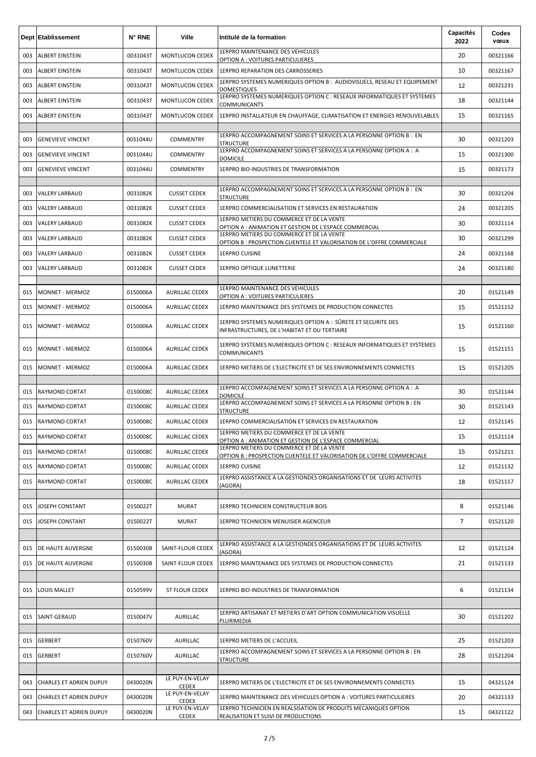|     | Dept Etablissement             | N° RNE   | Ville                           | Intitulé de la formation                                                                                                                                                      | Capacités<br>2022 | Codes<br>vœux |
|-----|--------------------------------|----------|---------------------------------|-------------------------------------------------------------------------------------------------------------------------------------------------------------------------------|-------------------|---------------|
| 003 | ALBERT EINSTEIN                | 0031043T | MONTLUCON CEDEX                 | 1ERPRO MAINTENANCE DES VEHICULES<br>OPTION A : VOITURES PARTICULIERES                                                                                                         | 20                | 00321166      |
| 003 | ALBERT EINSTEIN                | 0031043T | MONTLUCON CEDEX                 | <b>1ERPRO REPARATION DES CARROSSERIES</b>                                                                                                                                     | 10                | 00321167      |
| 003 | <b>ALBERT EINSTEIN</b>         | 0031043T | MONTLUCON CEDEX                 | 1ERPRO SYSTEMES NUMERIQUES OPTION B : AUDIOVISUELS, RESEAU ET EQUIPEMENT<br>DOMESTIQUES                                                                                       | 12                | 00321231      |
| 003 | ALBERT EINSTEIN                | 0031043T | MONTLUCON CEDEX                 | 1ERPRO SYSTEMES NUMERIQUES OPTION C : RESEAUX INFORMATIQUES ET SYSTEMES<br><b>COMMUNICANTS</b>                                                                                | 18                | 00321144      |
| 003 | <b>ALBERT EINSTEIN</b>         | 0031043T | MONTLUCON CEDEX                 | 1ERPRO INSTALLATEUR EN CHAUFFAGE, CLIMATISATION ET ENERGIES RENOUVELABLES                                                                                                     | 15                | 00321165      |
| 003 | <b>GENEVIEVE VINCENT</b>       | 0031044U | COMMENTRY                       | 1ERPRO ACCOMPAGNEMENT SOINS ET SERVICES A LA PERSONNE OPTION B : EN<br>STRUCTURE                                                                                              | 30                | 00321203      |
| 003 | <b>GENEVIEVE VINCENT</b>       | 0031044U | <b>COMMENTRY</b>                | 1ERPRO ACCOMPAGNEMENT SOINS ET SERVICES A LA PERSONNE OPTION A : A<br><b>DOMICILE</b>                                                                                         | 15                | 00321300      |
| 003 | <b>GENEVIEVE VINCENT</b>       | 0031044U | <b>COMMENTRY</b>                | 1ERPRO BIO-INDUSTRIES DE TRANSFORMATION                                                                                                                                       | 15                | 00321173      |
| 003 | <b>VALERY LARBAUD</b>          | 0031082K | <b>CUSSET CEDEX</b>             | 1ERPRO ACCOMPAGNEMENT SOINS ET SERVICES A LA PERSONNE OPTION B : EN<br>STRUCTURE                                                                                              | 30                | 00321204      |
| 003 | <b>VALERY LARBAUD</b>          | 0031082K | <b>CUSSET CEDEX</b>             | 1ERPRO COMMERCIALISATION ET SERVICES EN RESTAURATION                                                                                                                          | 24                | 00321205      |
| 003 | <b>VALERY LARBAUD</b>          | 0031082K | <b>CUSSET CEDEX</b>             | 1ERPRO METIERS DU COMMERCE ET DE LA VENTE                                                                                                                                     | 30                | 00321114      |
| 003 | <b>VALERY LARBAUD</b>          | 0031082K | <b>CUSSET CEDEX</b>             | OPTION A : ANIMATION ET GESTION DE L'ESPACE COMMERCIAL<br>1ERPRO METIERS DU COMMERCE ET DE LA VENTE<br>OPTION B: PROSPECTION CLIENTELE ET VALORISATION DE L'OFFRE COMMERCIALE | 30                | 00321299      |
| 003 | <b>VALERY LARBAUD</b>          | 0031082K | <b>CUSSET CEDEX</b>             | <b>1ERPRO CUISINE</b>                                                                                                                                                         | 24                | 00321168      |
| 003 | <b>VALERY LARBAUD</b>          | 0031082K | <b>CUSSET CEDEX</b>             | <b>1ERPRO OPTIQUE LUNETTERIE</b>                                                                                                                                              | 24                | 00321180      |
|     |                                |          |                                 |                                                                                                                                                                               |                   |               |
| 015 | <b>MONNET - MERMOZ</b>         | 0150006A | AURILLAC CEDEX                  | 1ERPRO MAINTENANCE DES VEHICULES<br>OPTION A : VOITURES PARTICULIERES                                                                                                         | 20                | 01521149      |
| 015 | <b>MONNET - MERMOZ</b>         | 0150006A | <b>AURILLAC CEDEX</b>           | 1ERPRO MAINTENANCE DES SYSTEMES DE PRODUCTION CONNECTES                                                                                                                       | 15                | 01521152      |
| 015 | MONNET - MERMOZ                | 0150006A | <b>AURILLAC CEDEX</b>           | 1ERPRO SYSTEMES NUMERIQUES OPTION A : SÛRETE ET SECURITE DES<br>INFRASTRUCTURES, DE L'HABITAT ET DU TERTIAIRE                                                                 | 15                | 01521160      |
| 015 | MONNET - MERMOZ                | 0150006A | <b>AURILLAC CEDEX</b>           | 1ERPRO SYSTEMES NUMERIQUES OPTION C : RESEAUX INFORMATIQUES ET SYSTEMES<br><b>COMMUNICANTS</b>                                                                                | 15                | 01521151      |
| 015 | <b>MONNET - MERMOZ</b>         | 0150006A | AURILLAC CEDEX                  | 1ERPRO METIERS DE L'ELECTRICITE ET DE SES ENVIRONNEMENTS CONNECTES                                                                                                            | 15                | 01521205      |
| 015 | <b>RAYMOND CORTAT</b>          | 0150008C | <b>AURILLAC CEDEX</b>           | 1ERPRO ACCOMPAGNEMENT SOINS ET SERVICES A LA PERSONNE OPTION A : A<br><b>DOMICILE</b>                                                                                         | 30                | 01521144      |
| 015 | RAYMOND CORTAT                 | 0150008C | AURILLAC CEDEX                  | 1ERPRO ACCOMPAGNEMENT SOINS ET SERVICES A LA PERSONNE OPTION B : EN<br><b>STRUCTURE</b>                                                                                       | 30                | 01521143      |
| 015 | <b>RAYMOND CORTAT</b>          | 0150008C | AURILLAC CEDEX                  | 1ERPRO COMMERCIALISATION ET SERVICES EN RESTAURATION                                                                                                                          | 12                | 01521145      |
| 015 | <b>RAYMOND CORTAT</b>          | 0150008C | AURILLAC CEDEX                  | 1ERPRO METIERS DU COMMERCE ET DE LA VENTE<br>OPTION A : ANIMATION ET GESTION DE L'ESPACE COMMERCIAL                                                                           | 15                | 01521114      |
| 015 | RAYMOND CORTAT                 | 0150008C | AURILLAC CEDEX                  | 1ERPRO METIERS DU COMMERCE ET DE LA VENTE<br>OPTION B : PROSPECTION CLIENTELE ET VALORISATION DE L'OFFRE COMMERCIALE                                                          | 15                | 01521211      |
| 015 | <b>RAYMOND CORTAT</b>          | 0150008C | <b>AURILLAC CEDEX</b>           | <b>1ERPRO CUISINE</b>                                                                                                                                                         | 12                | 01521132      |
| 015 | <b>RAYMOND CORTAT</b>          | 0150008C | AURILLAC CEDEX                  | 1ERPRO ASSISTANCE A LA GESTIONDES ORGANISATIONS ET DE LEURS ACTIVITES<br>(AGORA)                                                                                              | 18                | 01521117      |
| 015 | JOSEPH CONSTANT                | 0150022T | <b>MURAT</b>                    | 1ERPRO TECHNICIEN CONSTRUCTEUR BOIS                                                                                                                                           | 8                 | 01521146      |
| 015 | JOSEPH CONSTANT                | 0150022T | <b>MURAT</b>                    | 1ERPRO TECHNICIEN MENUISIER AGENCEUR                                                                                                                                          | $\overline{7}$    | 01521120      |
|     |                                |          |                                 |                                                                                                                                                                               |                   |               |
| 015 | DE HAUTE AUVERGNE              | 0150030B | SAINT-FLOUR CEDEX               | 1ERPRO ASSISTANCE A LA GESTIONDES ORGANISATIONS ET DE LEURS ACTIVITES<br>(AGORA)                                                                                              | 12                | 01521124      |
| 015 | DE HAUTE AUVERGNE              | 0150030B | SAINT-FLOUR CEDEX               | 1ERPRO MAINTENANCE DES SYSTEMES DE PRODUCTION CONNECTES                                                                                                                       | 21                | 01521133      |
|     |                                |          |                                 |                                                                                                                                                                               |                   |               |
| 015 | <b>LOUIS MALLET</b>            | 0150599V | <b>ST FLOUR CEDEX</b>           | 1ERPRO BIO-INDUSTRIES DE TRANSFORMATION                                                                                                                                       | 6                 | 01521134      |
| 015 | SAINT-GERAUD                   | 0150047V | AURILLAC                        | 1ERPRO ARTISANAT ET METIERS D'ART OPTION COMMUNICATION VISUELLE<br>PLURIMEDIA                                                                                                 | 30                | 01521202      |
| 015 | <b>GERBERT</b>                 | 0150760V | AURILLAC                        | 1ERPRO METIERS DE L'ACCUEIL                                                                                                                                                   | 25                | 01521203      |
| 015 | <b>GERBERT</b>                 | 0150760V | AURILLAC                        | 1ERPRO ACCOMPAGNEMENT SOINS ET SERVICES A LA PERSONNE OPTION B : EN<br>STRUCTURE                                                                                              | 28                | 01521204      |
|     |                                |          |                                 |                                                                                                                                                                               |                   |               |
| 043 | <b>CHARLES ET ADRIEN DUPUY</b> | 0430020N | LE PUY-EN-VELAY<br><b>CEDEX</b> | 1ERPRO METIERS DE L'ELECTRICITE ET DE SES ENVIRONNEMENTS CONNECTES                                                                                                            | 15                | 04321124      |
| 043 | CHARLES ET ADRIEN DUPUY        | 0430020N | LE PUY-EN-VELAY<br><b>CEDEX</b> | 1ERPRO MAINTENANCE DES VEHICULES OPTION A : VOITURES PARTICULIERES                                                                                                            | 20                | 04321133      |
| 043 | <b>CHARLES ET ADRIEN DUPUY</b> | 0430020N | LE PUY-EN-VELAY<br><b>CEDEX</b> | 1ERPRO TECHNICIEN EN REALSISATION DE PRODUITS MECANIQUES OPTION<br>REALISATION ET SUIVI DE PRODUCTIONS                                                                        | 15                | 04321122      |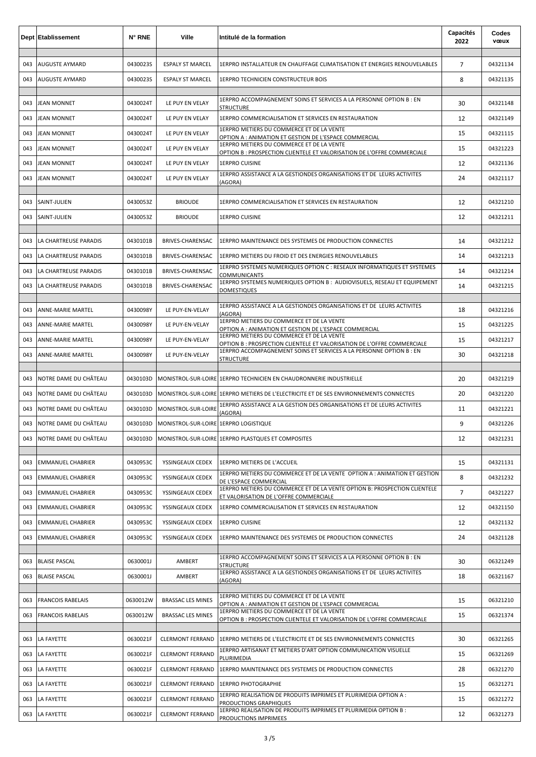|     | <b>Dept Etablissement</b> | N° RNE   | Ville                                 | Intitulé de la formation                                                                                                                                                       | Capacités<br>2022 | Codes<br>vœux |
|-----|---------------------------|----------|---------------------------------------|--------------------------------------------------------------------------------------------------------------------------------------------------------------------------------|-------------------|---------------|
| 043 | <b>AUGUSTE AYMARD</b>     | 0430023S | <b>ESPALY ST MARCEL</b>               | 1ERPRO INSTALLATEUR EN CHAUFFAGE CLIMATISATION ET ENERGIES RENOUVELABLES                                                                                                       | $\overline{7}$    | 04321134      |
| 043 | <b>AUGUSTE AYMARD</b>     | 0430023S | <b>ESPALY ST MARCEL</b>               | <b>1ERPRO TECHNICIEN CONSTRUCTEUR BOIS</b>                                                                                                                                     | 8                 | 04321135      |
|     |                           |          |                                       | 1ERPRO ACCOMPAGNEMENT SOINS ET SERVICES A LA PERSONNE OPTION B : EN                                                                                                            |                   |               |
| 043 | <b>JEAN MONNET</b>        | 0430024T | LE PUY EN VELAY                       | <b>STRUCTURE</b>                                                                                                                                                               | 30                | 04321148      |
| 043 | <b>JEAN MONNET</b>        | 0430024T | LE PUY EN VELAY                       | 1ERPRO COMMERCIALISATION ET SERVICES EN RESTAURATION<br>1ERPRO METIERS DU COMMERCE ET DE LA VENTE                                                                              | 12                | 04321149      |
| 043 | <b>JEAN MONNET</b>        | 0430024T | LE PUY EN VELAY                       | OPTION A : ANIMATION ET GESTION DE L'ESPACE COMMERCIAL<br>1ERPRO METIERS DU COMMERCE ET DE LA VENTE                                                                            | 15                | 04321115      |
| 043 | <b>JEAN MONNET</b>        | 0430024T | LE PUY EN VELAY                       | OPTION B: PROSPECTION CLIENTELE ET VALORISATION DE L'OFFRE COMMERCIALE                                                                                                         | 15                | 04321223      |
| 043 | <b>JEAN MONNET</b>        | 0430024T | LE PUY EN VELAY                       | <b>1ERPRO CUISINE</b><br>1ERPRO ASSISTANCE A LA GESTIONDES ORGANISATIONS ET DE LEURS ACTIVITES                                                                                 | 12                | 04321136      |
| 043 | <b>JEAN MONNET</b>        | 0430024T | LE PUY EN VELAY                       | (AGORA)                                                                                                                                                                        | 24                | 04321117      |
| 043 | SAINT-JULIEN              | 0430053Z | <b>BRIOUDE</b>                        | 1ERPRO COMMERCIALISATION ET SERVICES EN RESTAURATION                                                                                                                           | 12                | 04321210      |
| 043 | SAINT-JULIEN              | 0430053Z | <b>BRIOUDE</b>                        | <b>1ERPRO CUISINE</b>                                                                                                                                                          | 12                | 04321211      |
|     |                           |          |                                       |                                                                                                                                                                                |                   |               |
| 043 | LA CHARTREUSE PARADIS     | 0430101B | BRIVES-CHARENSAC                      | 1ERPRO MAINTENANCE DES SYSTEMES DE PRODUCTION CONNECTES                                                                                                                        | 14                | 04321212      |
| 043 | LA CHARTREUSE PARADIS     | 0430101B | BRIVES-CHARENSAC                      | 1ERPRO METIERS DU FROID ET DES ENERGIES RENOUVELABLES<br>1ERPRO SYSTEMES NUMERIQUES OPTION C : RESEAUX INFORMATIQUES ET SYSTEMES                                               | 14                | 04321213      |
| 043 | LA CHARTREUSE PARADIS     | 0430101B | BRIVES-CHARENSAC                      | <b>COMMUNICANTS</b>                                                                                                                                                            | 14                | 04321214      |
| 043 | LA CHARTREUSE PARADIS     | 0430101B | BRIVES-CHARENSAC                      | 1ERPRO SYSTEMES NUMERIQUES OPTION B : AUDIOVISUELS, RESEAU ET EQUIPEMENT<br><b>DOMESTIQUES</b>                                                                                 | 14                | 04321215      |
| 043 | <b>ANNE-MARIE MARTEL</b>  | 0430098Y | LE PUY-EN-VELAY                       | 1ERPRO ASSISTANCE A LA GESTIONDES ORGANISATIONS ET DE LEURS ACTIVITES                                                                                                          | 18                | 04321216      |
| 043 | ANNE-MARIE MARTEL         | 0430098Y | LE PUY-EN-VELAY                       | (AGORA)<br>1ERPRO METIERS DU COMMERCE ET DE LA VENTE                                                                                                                           | 15                | 04321225      |
| 043 | ANNE-MARIE MARTEL         | 0430098Y | LE PUY-EN-VELAY                       | OPTION A : ANIMATION ET GESTION DE L'ESPACE COMMERCIAL<br>1ERPRO METIERS DU COMMERCE ET DE LA VENTE<br>OPTION B : PROSPECTION CLIENTELE ET VALORISATION DE L'OFFRE COMMERCIALE | 15                | 04321217      |
| 043 | <b>ANNE-MARIE MARTEL</b>  | 0430098Y | LE PUY-EN-VELAY                       | 1ERPRO ACCOMPAGNEMENT SOINS ET SERVICES A LA PERSONNE OPTION B : EN<br><b>STRUCTURE</b>                                                                                        | 30                | 04321218      |
|     |                           |          |                                       |                                                                                                                                                                                |                   |               |
| 043 | NOTRE DAME DU CHÂTEAU     | 0430103D |                                       | MONISTROL-SUR-LOIRE 1ERPRO TECHNICIEN EN CHAUDRONNERIE INDUSTRIELLE                                                                                                            | 20                | 04321219      |
| 043 | NOTRE DAME DU CHÂTEAU     | 0430103D |                                       | MONISTROL-SUR-LOIRE LIERPRO METIERS DE L'ELECTRICITE ET DE SES ENVIRONNEMENTS CONNECTES                                                                                        | 20                | 04321220      |
| 043 | NOTRE DAME DU CHÂTEAU     | 0430103D | MONISTROL-SUR-LOIRE                   | 1ERPRO ASSISTANCE A LA GESTION DES ORGANISATIONS ET DE LEURS ACTIVITES<br>(AGORA)                                                                                              | 11                | 04321221      |
| 043 | NOTRE DAME DU CHÂTEAU     | 0430103D | MONISTROL-SUR-LOIRE 1ERPRO LOGISTIQUE |                                                                                                                                                                                | 9                 | 04321226      |
| 043 | NOTRE DAME DU CHÂTEAU     | 0430103D |                                       | MONISTROL-SUR-LOIRE 1ERPRO PLASTQUES ET COMPOSITES                                                                                                                             | 12                | 04321231      |
| 043 | <b>EMMANUEL CHABRIER</b>  | 0430953C | YSSINGEAUX CEDEX                      | 1ERPRO METIERS DE L'ACCUEIL                                                                                                                                                    | 15                | 04321131      |
| 043 | <b>EMMANUEL CHABRIER</b>  | 0430953C | YSSINGEAUX CEDEX                      | 1ERPRO METIERS DU COMMERCE ET DE LA VENTE OPTION A : ANIMATION ET GESTION<br>DE L'ESPACE COMMERCIAL                                                                            | 8                 | 04321232      |
| 043 | <b>EMMANUEL CHABRIER</b>  | 0430953C | YSSINGEAUX CEDEX                      | 1ERPRO METIERS DU COMMERCE ET DE LA VENTE OPTION B: PROSPECTION CLIENTELE<br>ET VALORISATION DE L'OFFRE COMMERCIALE                                                            | $\overline{7}$    | 04321227      |
| 043 | <b>EMMANUEL CHABRIER</b>  | 0430953C | YSSINGEAUX CEDEX                      | 1ERPRO COMMERCIALISATION ET SERVICES EN RESTAURATION                                                                                                                           | 12                | 04321150      |
| 043 | <b>EMMANUEL CHABRIER</b>  | 0430953C | YSSINGEAUX CEDEX                      | <b>1ERPRO CUISINE</b>                                                                                                                                                          | 12                | 04321132      |
| 043 | <b>EMMANUEL CHABRIER</b>  | 0430953C | YSSINGEAUX CEDEX                      | 1ERPRO MAINTENANCE DES SYSTEMES DE PRODUCTION CONNECTES                                                                                                                        | 24                | 04321128      |
| 063 | <b>BLAISE PASCAL</b>      | 0630001J | AMBERT                                | 1ERPRO ACCOMPAGNEMENT SOINS ET SERVICES A LA PERSONNE OPTION B : EN                                                                                                            | 30                | 06321249      |
| 063 | <b>BLAISE PASCAL</b>      | 0630001J | AMBERT                                | <b>STRUCTURE</b><br>1ERPRO ASSISTANCE A LA GESTIONDES ORGANISATIONS ET DE LEURS ACTIVITES                                                                                      | 18                | 06321167      |
|     |                           |          |                                       | (AGORA)                                                                                                                                                                        |                   |               |
| 063 | <b>FRANCOIS RABELAIS</b>  | 0630012W | <b>BRASSAC LES MINES</b>              | 1ERPRO METIERS DU COMMERCE ET DE LA VENTE<br>OPTION A : ANIMATION ET GESTION DE L'ESPACE COMMERCIAL                                                                            | 15                | 06321210      |
| 063 | <b>FRANCOIS RABELAIS</b>  | 0630012W | <b>BRASSAC LES MINES</b>              | 1ERPRO METIERS DU COMMERCE ET DE LA VENTE<br>OPTION B : PROSPECTION CLIENTELE ET VALORISATION DE L'OFFRE COMMERCIALE                                                           | 15                | 06321374      |
| 063 | LA FAYETTE                | 0630021F | <b>CLERMONT FERRAND</b>               | 1ERPRO METIERS DE L'ELECTRICITE ET DE SES ENVIRONNEMENTS CONNECTES                                                                                                             | 30                | 06321265      |
| 063 | LA FAYETTE                | 0630021F | <b>CLERMONT FERRAND</b>               | 1ERPRO ARTISANAT ET METIERS D'ART OPTION COMMUNICATION VISUELLE<br>PLURIMEDIA                                                                                                  | 15                | 06321269      |
| 063 | LA FAYETTE                | 0630021F | <b>CLERMONT FERRAND</b>               | 1ERPRO MAINTENANCE DES SYSTEMES DE PRODUCTION CONNECTES                                                                                                                        | 28                | 06321270      |
| 063 | LA FAYETTE                | 0630021F | <b>CLERMONT FERRAND</b>               | <b>1ERPRO PHOTOGRAPHIE</b>                                                                                                                                                     | 15                | 06321271      |
| 063 | LA FAYETTE                | 0630021F | <b>CLERMONT FERRAND</b>               | 1ERPRO REALISATION DE PRODUITS IMPRIMES ET PLURIMEDIA OPTION A :<br>PRODUCTIONS GRAPHIQUES                                                                                     | 15                | 06321272      |
| 063 | LA FAYETTE                | 0630021F | <b>CLERMONT FERRAND</b>               | 1ERPRO REALISATION DE PRODUITS IMPRIMES ET PLURIMEDIA OPTION B :<br>PRODUCTIONS IMPRIMEES                                                                                      | 12                | 06321273      |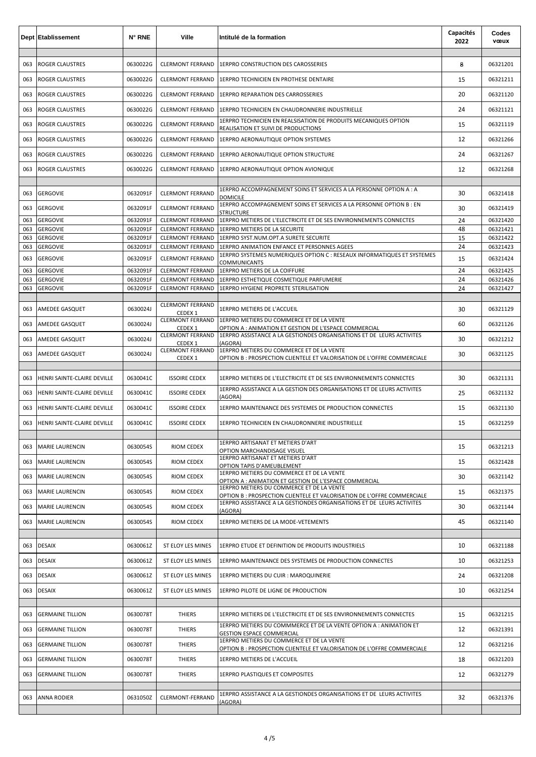|            | <b>Dept Etablissement</b>   | N° RNE               | Ville                                              | Intitulé de la formation                                                                                             | Capacités<br>2022 | Codes<br>vœux        |
|------------|-----------------------------|----------------------|----------------------------------------------------|----------------------------------------------------------------------------------------------------------------------|-------------------|----------------------|
| 063        | <b>ROGER CLAUSTRES</b>      | 0630022G             | <b>CLERMONT FERRAND</b>                            | 1ERPRO CONSTRUCTION DES CAROSSERIES                                                                                  | 8                 | 06321201             |
| 063        | <b>ROGER CLAUSTRES</b>      | 0630022G             | <b>CLERMONT FERRAND</b>                            | 1ERPRO TECHNICIEN EN PROTHESE DENTAIRE                                                                               | 15                | 06321211             |
| 063        | ROGER CLAUSTRES             | 0630022G             | <b>CLERMONT FERRAND</b>                            | <b>1ERPRO REPARATION DES CARROSSERIES</b>                                                                            | 20                | 06321120             |
| 063        | <b>ROGER CLAUSTRES</b>      | 0630022G             | <b>CLERMONT FERRAND</b>                            | 1ERPRO TECHNICIEN EN CHAUDRONNERIE INDUSTRIELLE                                                                      | 24                | 06321121             |
| 063        | <b>ROGER CLAUSTRES</b>      | 0630022G             | <b>CLERMONT FERRAND</b>                            | 1ERPRO TECHNICIEN EN REALSISATION DE PRODUITS MECANIQUES OPTION<br>REALISATION ET SUIVI DE PRODUCTIONS               | 15                | 06321119             |
| 063        | <b>ROGER CLAUSTRES</b>      | 0630022G             | <b>CLERMONT FERRAND</b>                            | 1ERPRO AERONAUTIQUE OPTION SYSTEMES                                                                                  | 12                | 06321266             |
| 063        | <b>ROGER CLAUSTRES</b>      | 0630022G             | <b>CLERMONT FERRAND</b>                            | 1ERPRO AERONAUTIQUE OPTION STRUCTURE                                                                                 | 24                | 06321267             |
| 063        | <b>ROGER CLAUSTRES</b>      | 0630022G             | <b>CLERMONT FERRAND</b>                            | 1ERPRO AERONAUTIQUE OPTION AVIONIQUE                                                                                 | 12                | 06321268             |
| 063        | <b>GERGOVIE</b>             | 0632091F             | <b>CLERMONT FERRAND</b>                            | 1ERPRO ACCOMPAGNEMENT SOINS ET SERVICES A LA PERSONNE OPTION A : A<br><b>DOMICILE</b>                                | 30                | 06321418             |
| 063        | <b>GERGOVIE</b>             | 0632091F             | <b>CLERMONT FERRAND</b>                            | 1ERPRO ACCOMPAGNEMENT SOINS ET SERVICES A LA PERSONNE OPTION B : EN<br><b>STRUCTURE</b>                              | 30                | 06321419             |
| 063        | <b>GERGOVIE</b>             | 0632091F             | <b>CLERMONT FERRAND</b>                            | 1ERPRO METIERS DE L'ELECTRICITE ET DE SES ENVIRONNEMENTS CONNECTES                                                   | 24                | 06321420             |
| 063<br>063 | GERGOVIE<br><b>GERGOVIE</b> | 0632091F<br>0632091F | <b>CLERMONT FERRAND</b><br><b>CLERMONT FERRAND</b> | 1ERPRO METIERS DE LA SECURITE<br>1ERPRO SYST.NUM.OPT.A SURETE SECURITE                                               | 48<br>15          | 06321421<br>06321422 |
| 063        | <b>GERGOVIE</b>             | 0632091F             | <b>CLERMONT FERRAND</b>                            | 1ERPRO ANIMATION ENFANCE ET PERSONNES AGEES                                                                          | 24                | 06321423             |
| 063        | <b>GERGOVIE</b>             | 0632091F             | <b>CLERMONT FERRAND</b>                            | 1ERPRO SYSTEMES NUMERIQUES OPTION C : RESEAUX INFORMATIQUES ET SYSTEMES<br>COMMUNICANTS                              | 15                | 06321424             |
| 063        | <b>GERGOVIE</b>             | 0632091F             | <b>CLERMONT FERRAND</b>                            | 1ERPRO METIERS DE LA COIFFURE                                                                                        | 24                | 06321425             |
| 063        | <b>GERGOVIE</b>             | 0632091F             | <b>CLERMONT FERRAND</b>                            | 1ERPRO ESTHETIQUE COSMETIQUE PARFUMERIE                                                                              | 24                | 06321426             |
| 063        | <b>GERGOVIE</b>             | 0632091F             | <b>CLERMONT FERRAND</b>                            | 1ERPRO HYGIENE PROPRETE STERILISATION                                                                                | 24                | 06321427             |
| 063        | AMEDEE GASQUET              | 0630024J             | <b>CLERMONT FERRAND</b><br>CEDEX <sub>1</sub>      | 1ERPRO METIERS DE L'ACCUEIL                                                                                          | 30                | 06321129             |
| 063        | AMEDEE GASQUET              | 0630024J             | <b>CLERMONT FERRAND</b><br>CEDEX 1                 | 1ERPRO METIERS DU COMMERCE ET DE LA VENTE<br>OPTION A : ANIMATION ET GESTION DE L'ESPACE COMMERCIAL                  | 60                | 06321126             |
| 063        | AMEDEE GASQUET              | 0630024J             | <b>CLERMONT FERRAND</b><br>CEDEX 1                 | 1ERPRO ASSISTANCE A LA GESTIONDES ORGANISATIONS ET DE LEURS ACTIVITES<br>(AGORA)                                     | 30                | 06321212             |
| 063        | AMEDEE GASQUET              | 0630024J             | <b>CLERMONT FERRAND</b><br>CEDEX 1                 | 1ERPRO METIERS DU COMMERCE ET DE LA VENTE<br>OPTION B: PROSPECTION CLIENTELE ET VALORISATION DE L'OFFRE COMMERCIALE  | 30                | 06321125             |
| 063        | HENRI SAINTE-CLAIRE DEVILLE | 0630041C             | <b>ISSOIRE CEDEX</b>                               | 1ERPRO METIERS DE L'ELECTRICITE ET DE SES ENVIRONNEMENTS CONNECTES                                                   | 30                | 06321131             |
| 063        | HENRI SAINTE-CLAIRE DEVILLE | 0630041C             | <b>ISSOIRE CEDEX</b>                               | 1ERPRO ASSISTANCE A LA GESTION DES ORGANISATIONS ET DE LEURS ACTIVITES<br>(AGORA)                                    | 25                | 06321132             |
| 063        | HENRI SAINTE-CLAIRE DEVILLE | 0630041C             | <b>ISSOIRE CEDEX</b>                               | 1ERPRO MAINTENANCE DES SYSTEMES DE PRODUCTION CONNECTES                                                              | 15                | 06321130             |
| 063        | HENRI SAINTE-CLAIRE DEVILLE | 0630041C             | <b>ISSOIRE CEDEX</b>                               | 1ERPRO TECHNICIEN EN CHAUDRONNERIE INDUSTRIELLE                                                                      | 15                | 06321259             |
|            |                             |                      |                                                    | 1ERPRO ARTISANAT ET METIERS D'ART                                                                                    |                   |                      |
| 063        | <b>MARIE LAURENCIN</b>      | 0630054S             | RIOM CEDEX                                         | OPTION MARCHANDISAGE VISUEL<br>1ERPRO ARTISANAT ET METIERS D'ART                                                     | 15                | 06321213             |
| 063        | <b>MARIE LAURENCIN</b>      | 0630054S             | <b>RIOM CEDEX</b>                                  | OPTION TAPIS D'AMEUBLEMENT                                                                                           | 15                | 06321428             |
| 063        | <b>MARIE LAURENCIN</b>      | 0630054S             | <b>RIOM CEDEX</b>                                  | 1ERPRO METIERS DU COMMERCE ET DE LA VENTE<br>OPTION A : ANIMATION ET GESTION DE L'ESPACE COMMERCIAL                  | 30                | 06321142             |
| 063        | <b>MARIE LAURENCIN</b>      | 0630054S             | RIOM CEDEX                                         | 1ERPRO METIERS DU COMMERCE ET DE LA VENTE<br>OPTION B : PROSPECTION CLIENTELE ET VALORISATION DE L'OFFRE COMMERCIALE | 15                | 06321375             |
| 063        | <b>MARIE LAURENCIN</b>      | 0630054S             | RIOM CEDEX                                         | 1ERPRO ASSISTANCE A LA GESTIONDES ORGANISATIONS ET DE LEURS ACTIVITES<br>(AGORA)                                     | 30                | 06321144             |
| 063        | <b>MARIE LAURENCIN</b>      | 0630054S             | <b>RIOM CEDEX</b>                                  | 1ERPRO METIERS DE LA MODE-VETEMENTS                                                                                  | 45                | 06321140             |
|            |                             |                      |                                                    |                                                                                                                      |                   |                      |
| 063        | <b>DESAIX</b>               | 0630061Z             | ST ELOY LES MINES                                  | 1ERPRO ETUDE ET DEFINITION DE PRODUITS INDUSTRIELS                                                                   | 10                | 06321188             |
| 063        | <b>DESAIX</b>               | 0630061Z             | ST ELOY LES MINES                                  | 1ERPRO MAINTENANCE DES SYSTEMES DE PRODUCTION CONNECTES                                                              | 10                | 06321253             |
| 063        | <b>DESAIX</b>               | 0630061Z             | ST ELOY LES MINES                                  | 1ERPRO METIERS DU CUIR : MAROQUINERIE                                                                                | 24                | 06321208             |
| 063        | <b>DESAIX</b>               | 0630061Z             | ST ELOY LES MINES                                  | 1ERPRO PILOTE DE LIGNE DE PRODUCTION                                                                                 | 10                | 06321254             |
| 063        | <b>GERMAINE TILLION</b>     | 0630078T             | <b>THIERS</b>                                      | 1ERPRO METIERS DE L'ELECTRICITE ET DE SES ENVIRONNEMENTS CONNECTES                                                   | 15                | 06321215             |
| 063        | <b>GERMAINE TILLION</b>     | 0630078T             | <b>THIERS</b>                                      | 1ERPRO METIERS DU COMMMERCE ET DE LA VENTE OPTION A : ANIMATION ET<br><b>GESTION ESPACE COMMERCIAL</b>               | 12                | 06321391             |
| 063        | <b>GERMAINE TILLION</b>     | 0630078T             | <b>THIERS</b>                                      | 1ERPRO METIERS DU COMMERCE ET DE LA VENTE<br>OPTION B : PROSPECTION CLIENTELE ET VALORISATION DE L'OFFRE COMMERCIALE | 12                | 06321216             |
| 063        | <b>GERMAINE TILLION</b>     | 0630078T             | <b>THIERS</b>                                      | 1ERPRO METIERS DE L'ACCUEIL                                                                                          | 18                | 06321203             |
| 063        | <b>GERMAINE TILLION</b>     | 0630078T             | <b>THIERS</b>                                      | <b>1ERPRO PLASTIQUES ET COMPOSITES</b>                                                                               | 12                | 06321279             |
| 063        | <b>ANNA RODIER</b>          | 0631050Z             | CLERMONT-FERRAND                                   | 1ERPRO ASSISTANCE A LA GESTIONDES ORGANISATIONS ET DE LEURS ACTIVITES                                                | 32                | 06321376             |
|            |                             |                      |                                                    | (AGORA)                                                                                                              |                   |                      |